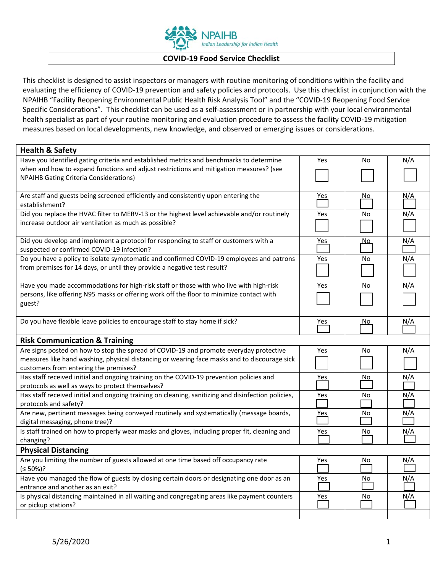

## **COVID‐19 Food Service Checklist**

This checklist is designed to assist inspectors or managers with routine monitoring of conditions within the facility and evaluating the efficiency of COVID‐19 prevention and safety policies and protocols. Use this checklist in conjunction with the NPAIHB "Facility Reopening Environmental Public Health Risk Analysis Tool" and the "COVID‐19 Reopening Food Service Specific Considerations". This checklist can be used as a self‐assessment or in partnership with your local environmental health specialist as part of your routine monitoring and evaluation procedure to assess the facility COVID‐19 mitigation measures based on local developments, new knowledge, and observed or emerging issues or considerations.

| <b>Health &amp; Safety</b>                                                                                                  |            |           |            |  |
|-----------------------------------------------------------------------------------------------------------------------------|------------|-----------|------------|--|
| Have you Identified gating criteria and established metrics and benchmarks to determine                                     | Yes        | No        | N/A        |  |
| when and how to expand functions and adjust restrictions and mitigation measures? (see                                      |            |           |            |  |
| <b>NPAIHB Gating Criteria Considerations)</b>                                                                               |            |           |            |  |
|                                                                                                                             |            |           |            |  |
| Are staff and guests being screened efficiently and consistently upon entering the<br>establishment?                        | <u>Yes</u> | No.       | N/A        |  |
| Did you replace the HVAC filter to MERV-13 or the highest level achievable and/or routinely                                 | Yes        | No        | N/A        |  |
| increase outdoor air ventilation as much as possible?                                                                       |            |           |            |  |
|                                                                                                                             |            |           |            |  |
| Did you develop and implement a protocol for responding to staff or customers with a                                        | Yes        | <u>No</u> | N/A        |  |
| suspected or confirmed COVID-19 infection?                                                                                  |            |           |            |  |
| Do you have a policy to isolate symptomatic and confirmed COVID-19 employees and patrons                                    | Yes        | No        | N/A        |  |
| from premises for 14 days, or until they provide a negative test result?                                                    |            |           |            |  |
| Have you made accommodations for high-risk staff or those with who live with high-risk                                      | Yes        | No        | N/A        |  |
| persons, like offering N95 masks or offering work off the floor to minimize contact with                                    |            |           |            |  |
| guest?                                                                                                                      |            |           |            |  |
|                                                                                                                             |            |           |            |  |
| Do you have flexible leave policies to encourage staff to stay home if sick?                                                | <u>Yes</u> | <u>No</u> | N/A        |  |
|                                                                                                                             |            |           |            |  |
| <b>Risk Communication &amp; Training</b>                                                                                    |            |           |            |  |
| Are signs posted on how to stop the spread of COVID-19 and promote everyday protective                                      | Yes        | No        | N/A        |  |
| measures like hand washing, physical distancing or wearing face masks and to discourage sick                                |            |           |            |  |
| customers from entering the premises?                                                                                       |            |           |            |  |
| Has staff received initial and ongoing training on the COVID-19 prevention policies and                                     | Yes        | No        | N/A        |  |
| protocols as well as ways to protect themselves?                                                                            |            |           |            |  |
| Has staff received initial and ongoing training on cleaning, sanitizing and disinfection policies,                          | Yes        | No        | N/A        |  |
| protocols and safety?                                                                                                       |            |           |            |  |
| Are new, pertinent messages being conveyed routinely and systematically (message boards,<br>digital messaging, phone tree)? | <u>Yes</u> | No        | N/A        |  |
| Is staff trained on how to properly wear masks and gloves, including proper fit, cleaning and                               | Yes        | No        | N/A        |  |
| changing?                                                                                                                   |            |           |            |  |
| <b>Physical Distancing</b>                                                                                                  |            |           |            |  |
| Are you limiting the number of guests allowed at one time based off occupancy rate                                          | Yes        | No        | <u>N/A</u> |  |
| $(50\%)$ ?                                                                                                                  |            |           |            |  |
|                                                                                                                             |            |           |            |  |
| Have you managed the flow of guests by closing certain doors or designating one door as an                                  | Yes        | No        | N/A        |  |
| entrance and another as an exit?                                                                                            |            |           |            |  |
| Is physical distancing maintained in all waiting and congregating areas like payment counters                               | Yes        | No        | N/A        |  |
| or pickup stations?                                                                                                         |            |           |            |  |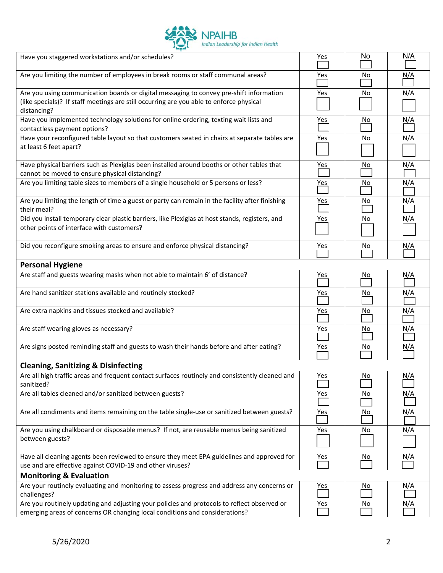

| Have you staggered workstations and/or schedules?                                                                                                                                                 | Yes        | No  | N/A        |  |
|---------------------------------------------------------------------------------------------------------------------------------------------------------------------------------------------------|------------|-----|------------|--|
| Are you limiting the number of employees in break rooms or staff communal areas?                                                                                                                  | Yes        | No  | <u>N/A</u> |  |
| Are you using communication boards or digital messaging to convey pre-shift information<br>(like specials)? If staff meetings are still occurring are you able to enforce physical<br>distancing? | Yes        | No  | N/A        |  |
| Have you implemented technology solutions for online ordering, texting wait lists and<br>contactless payment options?                                                                             | Yes        | No  | <u>N/A</u> |  |
| Have your reconfigured table layout so that customers seated in chairs at separate tables are<br>at least 6 feet apart?                                                                           | Yes        | No  | N/A        |  |
| Have physical barriers such as Plexiglas been installed around booths or other tables that<br>cannot be moved to ensure physical distancing?                                                      | Yes        | No  | N/A        |  |
| Are you limiting table sizes to members of a single household or 5 persons or less?                                                                                                               | <u>Yes</u> | No  | N/A        |  |
| Are you limiting the length of time a guest or party can remain in the facility after finishing<br>their meal?                                                                                    | Yes        | No  | N/A        |  |
| Did you install temporary clear plastic barriers, like Plexiglas at host stands, registers, and<br>other points of interface with customers?                                                      | Yes        | No  | N/A        |  |
| Did you reconfigure smoking areas to ensure and enforce physical distancing?                                                                                                                      | Yes        | No  | N/A        |  |
| <b>Personal Hygiene</b>                                                                                                                                                                           |            |     |            |  |
| Are staff and guests wearing masks when not able to maintain 6' of distance?                                                                                                                      | Yes        | No  | <u>N/A</u> |  |
| Are hand sanitizer stations available and routinely stocked?                                                                                                                                      | Yes        | No  | N/A        |  |
| Are extra napkins and tissues stocked and available?                                                                                                                                              | Yes        | No  | N/A        |  |
| Are staff wearing gloves as necessary?                                                                                                                                                            | Yes        | No. | N/A        |  |
| Are signs posted reminding staff and guests to wash their hands before and after eating?                                                                                                          | Yes        | No  | N/A        |  |
| <b>Cleaning, Sanitizing &amp; Disinfecting</b>                                                                                                                                                    |            |     |            |  |
| Are all high traffic areas and frequent contact surfaces routinely and consistently cleaned and<br>sanitized?                                                                                     | Yes        | No  | N/A        |  |
| Are all tables cleaned and/or sanitized between guests?                                                                                                                                           | Yes        | No  | <u>N/A</u> |  |
| Are all condiments and items remaining on the table single-use or sanitized between guests?                                                                                                       | $Yes$      | No  | N/A        |  |
| Are you using chalkboard or disposable menus? If not, are reusable menus being sanitized<br>between guests?                                                                                       | Yes        | No  | N/A        |  |
| Have all cleaning agents been reviewed to ensure they meet EPA guidelines and approved for<br>use and are effective against COVID-19 and other viruses?                                           | Yes        | No  | N/A        |  |
| <b>Monitoring &amp; Evaluation</b>                                                                                                                                                                |            |     |            |  |
| Are your routinely evaluating and monitoring to assess progress and address any concerns or<br>challenges?                                                                                        | Yes        | No  | N/A        |  |
| Are you routinely updating and adjusting your policies and protocols to reflect observed or<br>emerging areas of concerns OR changing local conditions and considerations?                        | Yes        | No  | N/A        |  |